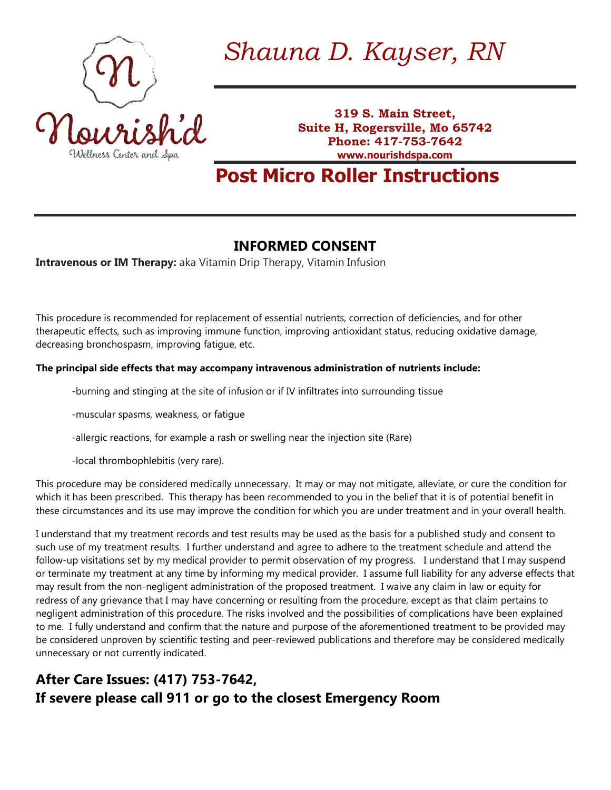

*Shauna D. Kayser, RN*

**319 S. Main Street, Suite H, Rogersville, Mo 65742 Phone: 417-753-7642 www.nourishdspa.com**

**Post Micro Roller Instructions**

## **INFORMED CONSENT**

**Intravenous or IM Therapy:** aka Vitamin Drip Therapy, Vitamin Infusion

This procedure is recommended for replacement of essential nutrients, correction of deficiencies, and for other therapeutic effects, such as improving immune function, improving antioxidant status, reducing oxidative damage, decreasing bronchospasm, improving fatigue, etc.

## **The principal side effects that may accompany intravenous administration of nutrients include:**

-burning and stinging at the site of infusion or if IV infiltrates into surrounding tissue

-muscular spasms, weakness, or fatigue

-allergic reactions, for example a rash or swelling near the injection site (Rare)

-local thrombophlebitis (very rare).

This procedure may be considered medically unnecessary. It may or may not mitigate, alleviate, or cure the condition for which it has been prescribed. This therapy has been recommended to you in the belief that it is of potential benefit in these circumstances and its use may improve the condition for which you are under treatment and in your overall health.

I understand that my treatment records and test results may be used as the basis for a published study and consent to such use of my treatment results. I further understand and agree to adhere to the treatment schedule and attend the follow-up visitations set by my medical provider to permit observation of my progress. I understand that I may suspend or terminate my treatment at any time by informing my medical provider. I assume full liability for any adverse effects that may result from the non-negligent administration of the proposed treatment. I waive any claim in law or equity for redress of any grievance that I may have concerning or resulting from the procedure, except as that claim pertains to negligent administration of this procedure. The risks involved and the possibilities of complications have been explained to me. I fully understand and confirm that the nature and purpose of the aforementioned treatment to be provided may be considered unproven by scientific testing and peer-reviewed publications and therefore may be considered medically unnecessary or not currently indicated.

## **After Care Issues: (417) 753-7642, If severe please call 911 or go to the closest Emergency Room**